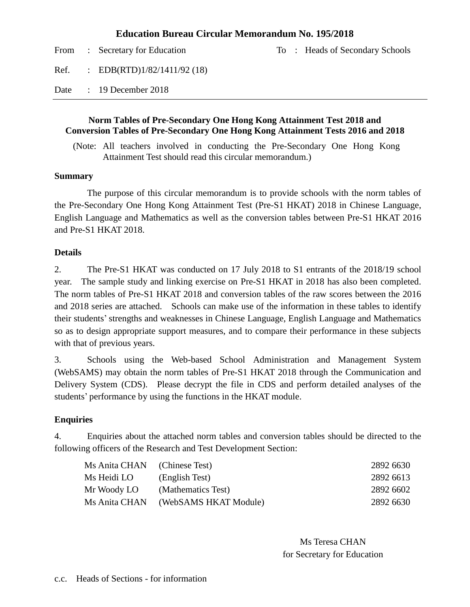#### **Education Bureau Circular Memorandum No. 195/2018**

|      | From : Secretary for Education |  | To: Heads of Secondary Schools |
|------|--------------------------------|--|--------------------------------|
| Ref. | : EDB(RTD) $1/82/1411/92$ (18) |  |                                |
| Date | $\therefore$ 19 December 2018  |  |                                |

#### **Norm Tables of Pre-Secondary One Hong Kong Attainment Test 2018 and Conversion Tables of Pre-Secondary One Hong Kong Attainment Tests 2016 and 2018**

(Note: All teachers involved in conducting the Pre-Secondary One Hong Kong Attainment Test should read this circular memorandum.)

#### **Summary**

The purpose of this circular memorandum is to provide schools with the norm tables of the Pre-Secondary One Hong Kong Attainment Test (Pre-S1 HKAT) 2018 in Chinese Language, English Language and Mathematics as well as the conversion tables between Pre-S1 HKAT 2016 and Pre-S1 HKAT 2018.

#### **Details**

2. The Pre-S1 HKAT was conducted on 17 July 2018 to S1 entrants of the 2018/19 school year. The sample study and linking exercise on Pre-S1 HKAT in 2018 has also been completed. The norm tables of Pre-S1 HKAT 2018 and conversion tables of the raw scores between the 2016 and 2018 series are attached. Schools can make use of the information in these tables to identify their students' strengths and weaknesses in Chinese Language, English Language and Mathematics so as to design appropriate support measures, and to compare their performance in these subjects with that of previous years.

3. Schools using the Web-based School Administration and Management System (WebSAMS) may obtain the norm tables of Pre-S1 HKAT 2018 through the Communication and Delivery System (CDS). Please decrypt the file in CDS and perform detailed analyses of the students' performance by using the functions in the HKAT module.

#### **Enquiries**

4. Enquiries about the attached norm tables and conversion tables should be directed to the following officers of the Research and Test Development Section:

| Ms Anita CHAN (Chinese Test) |                       | 2892 6630 |
|------------------------------|-----------------------|-----------|
| Ms Heidi LO                  | (English Test)        | 2892 6613 |
| Mr Woody LO                  | (Mathematics Test)    | 2892 6602 |
| Ms Anita CHAN                | (WebSAMS HKAT Module) | 2892 6630 |

Ms Teresa CHAN for Secretary for Education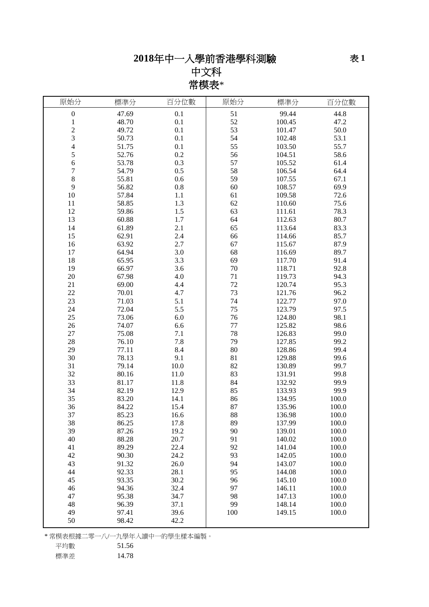# 年中一入學前香港學科測驗

## 中文科 常模表\*

| 原始分              | 標準分   | 百分位數 | 原始分     | 標準分    | 百分位數  |
|------------------|-------|------|---------|--------|-------|
| $\boldsymbol{0}$ | 47.69 | 0.1  | 51      | 99.44  | 44.8  |
| $\mathbf{1}$     | 48.70 | 0.1  | 52      | 100.45 | 47.2  |
| $\overline{c}$   | 49.72 | 0.1  | 53      | 101.47 | 50.0  |
| 3                | 50.73 | 0.1  | 54      | 102.48 | 53.1  |
| $\overline{4}$   | 51.75 | 0.1  | 55      | 103.50 | 55.7  |
| 5                | 52.76 | 0.2  | 56      | 104.51 | 58.6  |
| 6                | 53.78 | 0.3  | 57      | 105.52 | 61.4  |
| 7                | 54.79 | 0.5  | 58      | 106.54 | 64.4  |
| 8                | 55.81 | 0.6  | 59      | 107.55 | 67.1  |
| 9                | 56.82 | 0.8  | 60      | 108.57 | 69.9  |
| 10               | 57.84 | 1.1  | 61      | 109.58 | 72.6  |
| 11               | 58.85 | 1.3  | 62      | 110.60 | 75.6  |
| 12               | 59.86 | 1.5  | 63      | 111.61 | 78.3  |
| 13               | 60.88 | 1.7  | 64      | 112.63 | 80.7  |
| 14               | 61.89 | 2.1  | 65      | 113.64 | 83.3  |
| 15               | 62.91 | 2.4  | 66      | 114.66 | 85.7  |
| 16               | 63.92 | 2.7  | 67      | 115.67 | 87.9  |
| 17               | 64.94 | 3.0  | 68      | 116.69 | 89.7  |
| 18               | 65.95 | 3.3  | 69      | 117.70 | 91.4  |
| 19               | 66.97 | 3.6  | 70      | 118.71 | 92.8  |
| 20               | 67.98 | 4.0  | 71      | 119.73 | 94.3  |
| 21               | 69.00 | 4.4  | $72\,$  | 120.74 | 95.3  |
| 22               | 70.01 | 4.7  | 73      | 121.76 | 96.2  |
| 23               | 71.03 | 5.1  | 74      | 122.77 | 97.0  |
| 24               | 72.04 | 5.5  | 75      | 123.79 | 97.5  |
| 25               | 73.06 | 6.0  | 76      | 124.80 | 98.1  |
| 26               | 74.07 | 6.6  | $77 \,$ | 125.82 | 98.6  |
| 27               | 75.08 | 7.1  | 78      | 126.83 | 99.0  |
| 28               | 76.10 | 7.8  | 79      | 127.85 | 99.2  |
| 29               | 77.11 | 8.4  | 80      | 128.86 | 99.4  |
| 30               | 78.13 | 9.1  | 81      | 129.88 | 99.6  |
| 31               | 79.14 | 10.0 | 82      | 130.89 | 99.7  |
| 32               | 80.16 | 11.0 | 83      | 131.91 | 99.8  |
| 33               | 81.17 | 11.8 | 84      | 132.92 | 99.9  |
| 34               | 82.19 | 12.9 | 85      | 133.93 | 99.9  |
| 35               | 83.20 | 14.1 | 86      | 134.95 | 100.0 |
| 36               | 84.22 | 15.4 | 87      | 135.96 | 100.0 |
| 37               | 85.23 | 16.6 | 88      | 136.98 | 100.0 |
| 38               | 86.25 | 17.8 | 89      | 137.99 | 100.0 |
| 39               | 87.26 | 19.2 | 90      | 139.01 | 100.0 |
| 40               | 88.28 | 20.7 | 91      | 140.02 | 100.0 |
| 41               | 89.29 | 22.4 | 92      | 141.04 | 100.0 |
| 42               | 90.30 | 24.2 | 93      | 142.05 | 100.0 |
| 43               | 91.32 | 26.0 | 94      | 143.07 | 100.0 |
| 44               | 92.33 | 28.1 | 95      | 144.08 | 100.0 |
| 45               | 93.35 | 30.2 | 96      | 145.10 | 100.0 |
| 46               | 94.36 | 32.4 | 97      | 146.11 | 100.0 |
| 47               | 95.38 | 34.7 | 98      | 147.13 | 100.0 |
| 48               | 96.39 | 37.1 | 99      | 148.14 | 100.0 |
| 49               | 97.41 | 39.6 | 100     | 149.15 | 100.0 |
| 50               | 98.42 | 42.2 |         |        |       |

\* 常模表根據二零一八/一九學年入讀中一的學生樣本編製。

平均數 51.56

標準差 14.78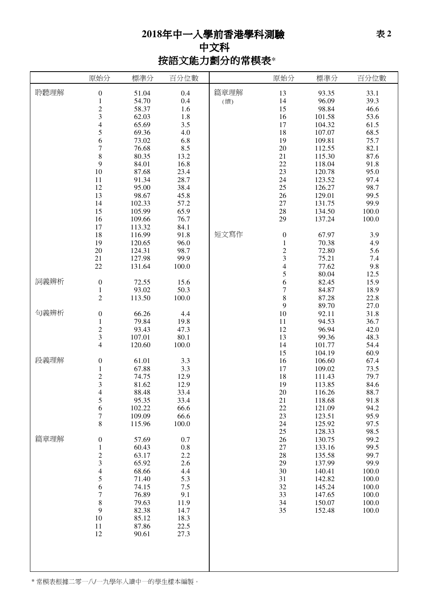# 年中一入學前香港學科測驗 中文科 按語文能力劃分的常模表\*

|      | 原始分                                        | 標準分              | 百分位數         |      | 原始分                             | 標準分              | 百分位數         |
|------|--------------------------------------------|------------------|--------------|------|---------------------------------|------------------|--------------|
| 聆聽理解 | $\boldsymbol{0}$                           | 51.04            | 0.4          | 篇章理解 | 13                              | 93.35            | 33.1         |
|      | $\,1\,$                                    | 54.70            | 0.4          | (續)  | 14                              | 96.09            | 39.3         |
|      |                                            | 58.37            | 1.6          |      | 15                              | 98.84            | 46.6         |
|      | $\frac{2}{3}$                              | 62.03            | 1.8          |      | 16                              | 101.58           | 53.6         |
|      | $\overline{\mathcal{L}}$                   | 65.69            | 3.5          |      | 17                              | 104.32           | 61.5         |
|      | 5                                          | 69.36            | 4.0          |      | 18                              | 107.07           | 68.5         |
|      | 6                                          | 73.02            | 6.8          |      | 19                              | 109.81           | 75.7         |
|      | $\overline{7}$                             | 76.68            | 8.5          |      | 20                              | 112.55           | 82.1         |
|      | 8                                          | 80.35            | 13.2         |      | 21                              | 115.30           | 87.6         |
|      | 9                                          | 84.01            | 16.8         |      | $22\,$                          | 118.04           | 91.8         |
|      | 10                                         | 87.68            | 23.4         |      | 23                              | 120.78           | 95.0         |
|      | 11                                         | 91.34            | 28.7         |      | 24                              | 123.52           | 97.4         |
|      | 12                                         | 95.00            | 38.4         |      | $25\,$                          | 126.27           | 98.7         |
|      | 13                                         | 98.67            | 45.8         |      | 26                              | 129.01           | 99.5         |
|      | 14                                         | 102.33           | 57.2         |      | $27\,$                          | 131.75           | 99.9         |
|      | 15                                         | 105.99           | 65.9         |      | 28                              | 134.50           | 100.0        |
|      | 16                                         | 109.66           | 76.7         |      | 29                              | 137.24           | 100.0        |
|      | 17                                         | 113.32           | 84.1         | 短文寫作 |                                 |                  |              |
|      | 18                                         | 116.99           | 91.8         |      | $\boldsymbol{0}$<br>$\mathbf 1$ | 67.97            | 3.9          |
|      | 19<br>$20\,$                               | 120.65           | 96.0<br>98.7 |      |                                 | 70.38<br>72.80   | 4.9<br>5.6   |
|      | 21                                         | 124.31<br>127.98 | 99.9         |      | $\frac{2}{3}$                   | 75.21            | 7.4          |
|      | 22                                         | 131.64           | 100.0        |      | $\overline{\mathcal{L}}$        | 77.62            | 9.8          |
|      |                                            |                  |              |      |                                 | 80.04            | 12.5         |
| 詞義辨析 | $\boldsymbol{0}$                           | 72.55            | 15.6         |      | $\frac{5}{6}$                   | 82.45            | 15.9         |
|      | $\mathbf 1$                                | 93.02            | 50.3         |      | $\overline{7}$                  | 84.87            | 18.9         |
|      | $\overline{c}$                             | 113.50           | 100.0        |      | 8                               | 87.28            | 22.8         |
|      |                                            |                  |              |      | 9                               | 89.70            | 27.0         |
| 句義辨析 | $\boldsymbol{0}$                           | 66.26            | 4.4          |      | 10                              | 92.11            | 31.8         |
|      | $\,1\,$                                    | 79.84            | 19.8         |      | 11                              | 94.53            | 36.7         |
|      | $\frac{2}{3}$                              | 93.43            | 47.3         |      | 12                              | 96.94            | 42.0         |
|      |                                            | 107.01           | 80.1         |      | 13                              | 99.36            | 48.3         |
|      | $\overline{4}$                             | 120.60           | 100.0        |      | 14                              | 101.77           | 54.4         |
|      |                                            |                  |              |      | 15                              | 104.19           | 60.9         |
| 段義理解 | $\boldsymbol{0}$                           | 61.01            | 3.3          |      | 16                              | 106.60           | 67.4         |
|      | $\mathbf{1}$                               | 67.88            | 3.3          |      | 17                              | 109.02           | 73.5         |
|      | $\frac{2}{3}$                              | 74.75<br>81.62   | 12.9         |      | 18<br>19                        | 111.43<br>113.85 | 79.7<br>84.6 |
|      | $\overline{\mathcal{L}}$                   | 88.48            | 12.9<br>33.4 |      | 20                              | 116.26           | 88.7         |
|      | 5                                          | 95.35            | 33.4         |      | 21                              | 118.68           | 91.8         |
|      | $\sqrt{6}$                                 | 102.22           | 66.6         |      | 22                              | 121.09           | 94.2         |
|      | $\overline{7}$                             | 109.09           | 66.6         |      | 23                              | 123.51           | 95.9         |
|      | 8                                          | 115.96           | 100.0        |      | 24                              | 125.92           | 97.5         |
|      |                                            |                  |              |      | 25                              | 128.33           | 98.5         |
| 篇章理解 | $\boldsymbol{0}$                           | 57.69            | 0.7          |      | 26                              | 130.75           | 99.2         |
|      | $\mathbf{1}$                               | 60.43            | 0.8          |      | $27\,$                          | 133.16           | 99.5         |
|      |                                            | 63.17            | 2.2          |      | 28                              | 135.58           | 99.7         |
|      | $\begin{array}{c} 2 \\ 3 \\ 4 \end{array}$ | 65.92            | 2.6          |      | 29                              | 137.99           | 99.9         |
|      |                                            | 68.66            | 4.4          |      | 30                              | 140.41           | 100.0        |
|      | 5                                          | 71.40            | 5.3          |      | 31                              | 142.82           | 100.0        |
|      | 6                                          | 74.15            | $7.5$        |      | 32                              | 145.24           | 100.0        |
|      | $\overline{7}$                             | 76.89            | 9.1          |      | 33                              | 147.65           | 100.0        |
|      | $\,$ $\,$                                  | 79.63            | 11.9         |      | 34                              | 150.07           | 100.0        |
|      | $\mathbf{9}$                               | 82.38            | 14.7         |      | 35                              | 152.48           | 100.0        |
|      | $10\,$<br>11                               | 85.12<br>87.86   | 18.3<br>22.5 |      |                                 |                  |              |
|      | 12                                         | 90.61            | 27.3         |      |                                 |                  |              |
|      |                                            |                  |              |      |                                 |                  |              |
|      |                                            |                  |              |      |                                 |                  |              |
|      |                                            |                  |              |      |                                 |                  |              |
|      |                                            |                  |              |      |                                 |                  |              |
|      |                                            |                  |              |      |                                 |                  |              |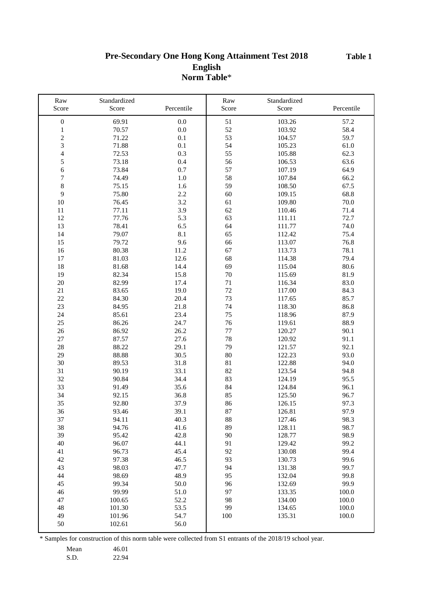**Table 1**

## **Pre-Secondary One Hong Kong Attainment Test 2018 English Norm Table**\*

| Raw                              | Standardized |            | Raw      | Standardized |            |
|----------------------------------|--------------|------------|----------|--------------|------------|
| Score                            | Score        | Percentile | Score    | Score        | Percentile |
|                                  | 69.91        | 0.0        | 51       | 103.26       | 57.2       |
| $\boldsymbol{0}$<br>$\mathbf{1}$ | 70.57        | 0.0        | 52       | 103.92       | 58.4       |
| $\sqrt{2}$                       | 71.22        | 0.1        | 53       | 104.57       | 59.7       |
|                                  |              |            |          |              |            |
| 3<br>$\overline{4}$              | 71.88        | 0.1<br>0.3 | 54<br>55 | 105.23       | 61.0       |
| 5                                | 72.53        |            |          | 105.88       | 62.3       |
|                                  | 73.18        | 0.4        | 56       | 106.53       | 63.6       |
| $\epsilon$                       | 73.84        | 0.7        | 57       | 107.19       | 64.9       |
| $\boldsymbol{7}$                 | 74.49        | $1.0\,$    | 58       | 107.84       | 66.2       |
| 8                                | 75.15        | 1.6        | 59       | 108.50       | 67.5       |
| 9                                | 75.80        | $2.2\,$    | 60       | 109.15       | 68.8       |
| 10                               | 76.45        | 3.2        | 61       | 109.80       | 70.0       |
| 11                               | 77.11        | 3.9        | 62       | 110.46       | 71.4       |
| 12                               | 77.76        | 5.3        | 63       | 111.11       | 72.7       |
| 13                               | 78.41        | 6.5        | 64       | 111.77       | 74.0       |
| 14                               | 79.07        | 8.1        | 65       | 112.42       | 75.4       |
| 15                               | 79.72        | 9.6        | 66       | 113.07       | 76.8       |
| 16                               | 80.38        | 11.2       | 67       | 113.73       | 78.1       |
| 17                               | 81.03        | 12.6       | 68       | 114.38       | 79.4       |
| $18\,$                           | 81.68        | 14.4       | 69       | 115.04       | 80.6       |
| 19                               | 82.34        | 15.8       | $70\,$   | 115.69       | 81.9       |
| $20\,$                           | 82.99        | 17.4       | 71       | 116.34       | 83.0       |
| 21                               | 83.65        | 19.0       | 72       | 117.00       | 84.3       |
| $22\,$                           | 84.30        | 20.4       | 73       | 117.65       | 85.7       |
| 23                               | 84.95        | 21.8       | 74       | 118.30       | 86.8       |
| 24                               | 85.61        | 23.4       | 75       | 118.96       | 87.9       |
| 25                               | 86.26        | 24.7       | 76       | 119.61       | 88.9       |
| $26\,$                           | 86.92        | 26.2       | $77 \,$  | 120.27       | 90.1       |
| $27\,$                           | 87.57        | 27.6       | 78       | 120.92       | 91.1       |
| 28                               | 88.22        | 29.1       | 79       | 121.57       | 92.1       |
| 29                               | 88.88        | 30.5       | 80       | 122.23       | 93.0       |
| $30\,$                           | 89.53        | 31.8       | 81       | 122.88       | 94.0       |
| 31                               | 90.19        | 33.1       | 82       | 123.54       | 94.8       |
| 32                               | 90.84        | 34.4       | 83       | 124.19       | 95.5       |
| 33                               | 91.49        | 35.6       | 84       | 124.84       | 96.1       |
| 34                               | 92.15        | 36.8       | 85       | 125.50       | 96.7       |
| 35                               | 92.80        | 37.9       | 86       | 126.15       | 97.3       |
| 36                               | 93.46        | 39.1       | 87       | 126.81       | 97.9       |
| 37                               | 94.11        | 40.3       | 88       | 127.46       | 98.3       |
| 38                               | 94.76        | 41.6       | 89       | 128.11       | 98.7       |
| 39                               | 95.42        | 42.8       | 90       | 128.77       | 98.9       |
| 40                               | 96.07        | 44.1       | 91       | 129.42       | 99.2       |
| 41                               | 96.73        | 45.4       | 92       | 130.08       | 99.4       |
| 42                               | 97.38        | 46.5       | 93       | 130.73       | 99.6       |
| 43                               | 98.03        | 47.7       | 94       | 131.38       | 99.7       |
| 44                               | 98.69        | 48.9       | 95       | 132.04       | 99.8       |
| 45                               | 99.34        | 50.0       | 96       | 132.69       | 99.9       |
| 46                               | 99.99        | 51.0       | 97       | 133.35       | 100.0      |
| 47                               | 100.65       | 52.2       | 98       | 134.00       | 100.0      |
| 48                               | 101.30       | 53.5       | 99       | 134.65       | 100.0      |
| 49                               | 101.96       | 54.7       | 100      | 135.31       | 100.0      |
| 50                               | 102.61       | 56.0       |          |              |            |
|                                  |              |            |          |              |            |

\* Samples for construction of this norm table were collected from S1 entrants of the 2018/19 school year.

Mean 46.01

S.D. 22.94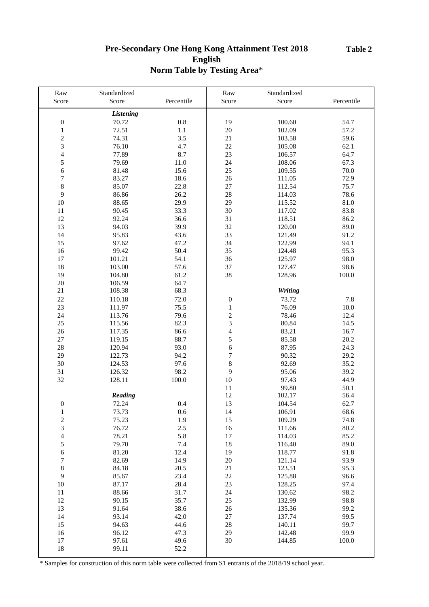## **Pre-Secondary One Hong Kong Attainment Test 2018 English Norm Table by Testing Area**\*

| Raw                     | Standardized<br>Score | Percentile | Raw<br>Score             | Standardized<br>Score | Percentile |
|-------------------------|-----------------------|------------|--------------------------|-----------------------|------------|
| Score                   |                       |            |                          |                       |            |
|                         | <b>Listening</b>      |            |                          |                       |            |
| $\boldsymbol{0}$        | 70.72                 | $0.8\,$    | 19                       | 100.60                | 54.7       |
| $\,1$                   | 72.51                 | 1.1        | $20\,$                   | 102.09                | 57.2       |
| $\overline{c}$          | 74.31                 | 3.5        | 21                       | 103.58                | 59.6       |
| 3                       | 76.10                 | 4.7        | 22                       | 105.08                | 62.1       |
| $\overline{4}$          | 77.89                 | 8.7        | 23                       | 106.57                | 64.7       |
| 5                       | 79.69                 | 11.0       | 24                       | 108.06                | 67.3       |
| $\boldsymbol{6}$        | 81.48                 | 15.6       | 25                       | 109.55                | 70.0       |
| $\sqrt{ }$              | 83.27                 | 18.6       | 26                       | 111.05                | 72.9       |
| 8                       | 85.07                 | 22.8       | $27\,$                   | 112.54                | 75.7       |
| 9                       | 86.86                 | 26.2       | 28                       | 114.03                | 78.6       |
| 10                      | 88.65                 | 29.9       | 29                       | 115.52                | $81.0\,$   |
| 11                      | 90.45                 | 33.3       | 30                       | 117.02                | 83.8       |
| 12                      | 92.24                 | 36.6       | 31                       | 118.51                | 86.2       |
| 13                      | 94.03                 | 39.9       | 32                       | 120.00                | 89.0       |
| 14                      | 95.83                 | 43.6       | 33                       | 121.49                | 91.2       |
| 15                      | 97.62                 | 47.2       | 34                       | 122.99                | 94.1       |
| 16                      | 99.42                 | 50.4       | 35                       | 124.48                | 95.3       |
| 17                      | 101.21                | 54.1       | 36                       | 125.97                | 98.0       |
| 18                      | 103.00                | 57.6       | 37                       | 127.47                | 98.6       |
| 19                      | 104.80                | 61.2       | 38                       | 128.96                | 100.0      |
| 20                      | 106.59                | 64.7       |                          |                       |            |
| 21                      | 108.38                | 68.3       |                          | Writing               |            |
| 22                      | 110.18                | 72.0       | $\boldsymbol{0}$         | 73.72                 | 7.8        |
| 23                      |                       |            |                          |                       |            |
|                         | 111.97                | 75.5       | $\,1$                    | 76.09                 | $10.0\,$   |
| 24                      | 113.76                | 79.6       | $\overline{c}$           | 78.46                 | 12.4       |
| 25                      | 115.56                | 82.3       | 3                        | 80.84                 | 14.5       |
| 26                      | 117.35                | 86.6       | $\overline{\mathcal{L}}$ | 83.21                 | 16.7       |
| 27                      | 119.15                | 88.7       | 5                        | 85.58                 | 20.2       |
| 28                      | 120.94                | 93.0       | 6                        | 87.95                 | 24.3       |
| 29                      | 122.73                | 94.2       | $\overline{7}$           | 90.32                 | 29.2       |
| 30                      | 124.53                | 97.6       | $\,8\,$                  | 92.69                 | 35.2       |
| 31                      | 126.32                | 98.2       | 9                        | 95.06                 | 39.2       |
| 32                      | 128.11                | 100.0      | $10\,$                   | 97.43                 | 44.9       |
|                         |                       |            | 11                       | 99.80                 | 50.1       |
|                         | Reading               |            | 12                       | 102.17                | 56.4       |
| $\boldsymbol{0}$        | 72.24                 | 0.4        | 13                       | 104.54                | 62.7       |
| 1                       | 73.73                 | 0.6        | 14                       | 106.91                | 68.6       |
| $\overline{\mathbf{c}}$ | 75.23                 | 1.9        | 15                       | 109.29                | 74.8       |
| 3                       | 76.72                 | $2.5\,$    | 16                       | 111.66                | 80.2       |
| $\overline{4}$          | 78.21                 | 5.8        | 17                       | 114.03                | 85.2       |
| 5                       | 79.70                 | 7.4        | 18                       | 116.40                | 89.0       |
| 6                       | 81.20                 | 12.4       | 19                       | 118.77                | 91.8       |
| $\boldsymbol{7}$        | 82.69                 | 14.9       | 20                       | 121.14                | 93.9       |
| $\,$ 8 $\,$             | 84.18                 | 20.5       | 21                       | 123.51                | 95.3       |
| 9                       | 85.67                 | 23.4       | 22                       | 125.88                | 96.6       |
| 10                      | 87.17                 | 28.4       | 23                       | 128.25                | 97.4       |
| 11                      | 88.66                 | 31.7       | 24                       | 130.62                | 98.2       |
| 12                      | 90.15                 | 35.7       | 25                       | 132.99                | 98.8       |
| 13                      | 91.64                 | 38.6       | 26                       | 135.36                | 99.2       |
| 14                      | 93.14                 | 42.0       | $27\,$                   | 137.74                | 99.5       |
| 15                      | 94.63                 | 44.6       | 28                       | 140.11                | 99.7       |
| 16                      | 96.12                 | 47.3       | 29                       | 142.48                | 99.9       |
| 17                      | 97.61                 | 49.6       | 30                       | 144.85                | 100.0      |
| 18                      | 99.11                 | 52.2       |                          |                       |            |
|                         |                       |            |                          |                       |            |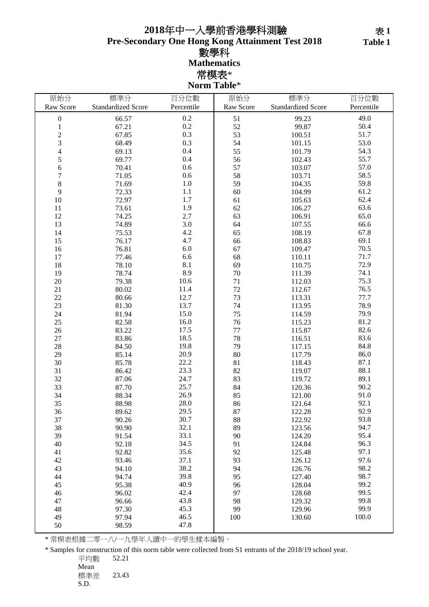## **Pre-Secondary One Hong Kong Attainment Test 2018** 數學科 **Mathematics** 常模表\* 年中一入學前香港學科測驗

**Norm Table**\*

| 原始分                      | 標準分                       | 百分位數       | 原始分       | 標準分                       | 百分位數       |
|--------------------------|---------------------------|------------|-----------|---------------------------|------------|
| Raw Score                | <b>Standardized Score</b> | Percentile | Raw Score | <b>Standardized Score</b> | Percentile |
| $\boldsymbol{0}$         | 66.57                     | 0.2        | 51        | 99.23                     | 49.0       |
| $\,1$                    | 67.21                     | 0.2        | 52        | 99.87                     | 50.4       |
|                          | 67.85                     | 0.3        | 53        | 100.51                    | 51.7       |
| $\frac{2}{3}$            | 68.49                     | 0.3        | 54        | 101.15                    | 53.0       |
| $\overline{\mathcal{L}}$ | 69.13                     | 0.4        | 55        | 101.79                    | 54.3       |
| 5                        | 69.77                     | 0.4        | 56        | 102.43                    | 55.7       |
| 6                        | 70.41                     | 0.6        | 57        | 103.07                    | 57.0       |
| $\overline{7}$           | 71.05                     | 0.6        | 58        | 103.71                    | 58.5       |
| $\,$ 8 $\,$              | 71.69                     | $1.0\,$    | 59        | 104.35                    | 59.8       |
| 9                        | 72.33                     | 1.1        | 60        | 104.99                    | 61.2       |
| 10                       | 72.97                     | 1.7        | 61        | 105.63                    | 62.4       |
| 11                       | 73.61                     | 1.9        | 62        | 106.27                    | 63.6       |
| 12                       | 74.25                     | 2.7        | 63        | 106.91                    | 65.0       |
|                          |                           | 3.0        | 64        |                           | 66.6       |
| 13                       | 74.89                     | 4.2        | 65        | 107.55                    | 67.8       |
| 14                       | 75.53                     | 4.7        |           | 108.19                    | 69.1       |
| 15                       | 76.17                     |            | 66        | 108.83                    |            |
| 16                       | 76.81                     | 6.0        | 67        | 109.47                    | 70.5       |
| 17                       | 77.46                     | 6.6        | 68        | 110.11                    | 71.7       |
| 18                       | 78.10                     | 8.1        | 69        | 110.75                    | 72.9       |
| 19                       | 78.74                     | 8.9        | 70        | 111.39                    | 74.1       |
| 20                       | 79.38                     | 10.6       | 71        | 112.03                    | 75.3       |
| 21                       | 80.02                     | 11.4       | 72        | 112.67                    | 76.5       |
| $22\,$                   | 80.66                     | 12.7       | 73        | 113.31                    | 77.7       |
| 23                       | 81.30                     | 13.7       | 74        | 113.95                    | 78.9       |
| 24                       | 81.94                     | 15.0       | 75        | 114.59                    | 79.9       |
| 25                       | 82.58                     | 16.0       | 76        | 115.23                    | 81.2       |
| 26                       | 83.22                     | 17.5       | 77        | 115.87                    | 82.6       |
| 27                       | 83.86                     | 18.5       | 78        | 116.51                    | 83.6       |
| 28                       | 84.50                     | 19.8       | 79        | 117.15                    | 84.8       |
| 29                       | 85.14                     | 20.9       | 80        | 117.79                    | 86.0       |
| 30                       | 85.78                     | 22.2       | 81        | 118.43                    | 87.1       |
| 31                       | 86.42                     | 23.3       | 82        | 119.07                    | 88.1       |
| 32                       | 87.06                     | 24.7       | 83        | 119.72                    | 89.1       |
| 33                       | 87.70                     | 25.7       | 84        | 120.36                    | 90.2       |
| 34                       | 88.34                     | 26.9       | 85        | 121.00                    | 91.0       |
| 35                       | 88.98                     | 28.0       | 86        | 121.64                    | 92.1       |
| 36                       | 89.62                     | 29.5       | 87        | 122.28                    | 92.9       |
| 37                       | 90.26                     | 30.7       | 88        | 122.92                    | 93.8       |
| 38                       | 90.90                     | 32.1       | 89        | 123.56                    | 94.7       |
| 39                       | 91.54                     | 33.1       | 90        | 124.20                    | 95.4       |
| 40                       | 92.18                     | 34.5       | 91        | 124.84                    | 96.3       |
| 41                       | 92.82                     | 35.6       | 92        | 125.48                    | 97.1       |
| 42                       | 93.46                     | 37.1       | 93        | 126.12                    | 97.6       |
| 43                       | 94.10                     | 38.2       | 94        | 126.76                    | 98.2       |
| 44                       | 94.74                     | 39.8       | 95        | 127.40                    | 98.7       |
| 45                       | 95.38                     | 40.9       | 96        | 128.04                    | 99.2       |
| 46                       | 96.02                     | 42.4       | 97        | 128.68                    | 99.5       |
| 47                       | 96.66                     | 43.8       | 98        | 129.32                    | 99.8       |
| 48                       | 97.30                     | 45.3       | 99        | 129.96                    | 99.9       |
| 49                       | 97.94                     | 46.5       | 100       | 130.60                    | 100.0      |
| 50                       | 98.59                     | 47.8       |           |                           |            |

\* 常模表根據二零一八/一九學年入讀中一的學生樣本編製。

\* Samples for construction of this norm table were collected from S1 entrants of the 2018/19 school year.

平均數 52.21

Mean 標準差 23.43 S.D.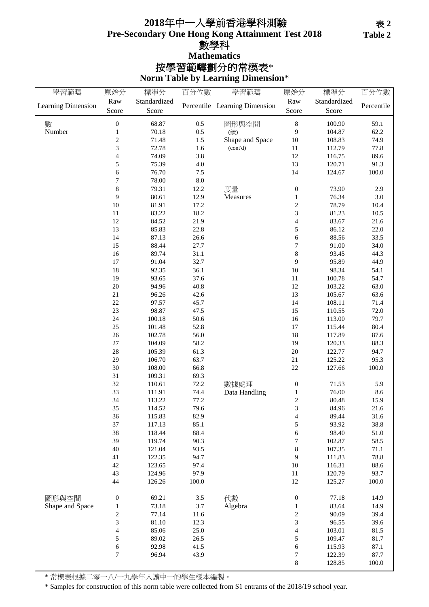## **Pre-Secondary One Hong Kong Attainment Test 2018** 年中一入學前香港學科測驗 數學科 **Norm Table by Learning Dimension**\* 按學習範疇劃分的常模表\* **Mathematics**

| 學習範疇               | 原始分              | 標準分          | 百分位數       | 學習範疇               | 原始分                      | 標準分          | 百分位數       |
|--------------------|------------------|--------------|------------|--------------------|--------------------------|--------------|------------|
| Learning Dimension | Raw              | Standardized | Percentile | Learning Dimension | Raw                      | Standardized | Percentile |
|                    | Score            | Score        |            |                    | Score                    | Score        |            |
| 數                  | $\boldsymbol{0}$ | 68.87        | 0.5        | 圖形與空間              | $\,$ 8 $\,$              | 100.90       | 59.1       |
| Number             | $\,1$            | 70.18        | 0.5        | (續)                | 9                        | 104.87       | 62.2       |
|                    | $\overline{c}$   | 71.48        | 1.5        | Shape and Space    | 10                       | 108.83       | 74.9       |
|                    | 3                | 72.78        | 1.6        | (cont'd)           | $11\,$                   | 112.79       | 77.8       |
|                    | 4                | 74.09        | 3.8        |                    | 12                       | 116.75       | 89.6       |
|                    | 5                | 75.39        | $4.0\,$    |                    | 13                       | 120.71       | 91.3       |
|                    | 6                | 76.70        | 7.5        |                    | 14                       | 124.67       | 100.0      |
|                    | 7                | 78.00        | $\ \, 8.0$ |                    |                          |              |            |
|                    | 8                | 79.31        | 12.2       | 度量                 | $\boldsymbol{0}$         | 73.90        | 2.9        |
|                    | 9                | 80.61        | 12.9       | Measures           | $\mathbf{1}$             | 76.34        | 3.0        |
|                    | 10               | 81.91        | 17.2       |                    | $\sqrt{2}$               | 78.79        | 10.4       |
|                    | 11               | 83.22        | 18.2       |                    | 3                        | 81.23        | 10.5       |
|                    | 12               | 84.52        | 21.9       |                    | $\overline{\mathbf{4}}$  | 83.67        | 21.6       |
|                    | 13               | 85.83        | 22.8       |                    | 5                        | 86.12        | 22.0       |
|                    | 14               | 87.13        | 26.6       |                    | $\epsilon$               | 88.56        | 33.5       |
|                    | 15               | 88.44        | 27.7       |                    | $\boldsymbol{7}$         | 91.00        | 34.0       |
|                    | 16               | 89.74        | 31.1       |                    | $\,8\,$                  | 93.45        | 44.3       |
|                    | $17\,$           | 91.04        | 32.7       |                    | 9                        | 95.89        | 44.9       |
|                    | 18               | 92.35        | 36.1       |                    | 10                       | 98.34        | 54.1       |
|                    | 19               | 93.65        | 37.6       |                    | 11                       | 100.78       | 54.7       |
|                    | 20               | 94.96        | 40.8       |                    | 12                       | 103.22       | 63.0       |
|                    | $21\,$           | 96.26        | 42.6       |                    | 13                       | 105.67       | 63.6       |
|                    | $22\,$           | 97.57        | 45.7       |                    | 14                       | 108.11       | 71.4       |
|                    | 23               | 98.87        | 47.5       |                    | 15                       | 110.55       | 72.0       |
|                    | 24               | 100.18       | 50.6       |                    | 16                       | 113.00       | 79.7       |
|                    | 25               | 101.48       | 52.8       |                    | 17                       | 115.44       | 80.4       |
|                    | 26               | 102.78       | 56.0       |                    | 18                       | 117.89       | 87.6       |
|                    | 27               | 104.09       | 58.2       |                    | 19                       | 120.33       | 88.3       |
|                    | 28               | 105.39       | 61.3       |                    | $20\,$                   | 122.77       | 94.7       |
|                    | 29               | 106.70       | 63.7       |                    | $21\,$                   | 125.22       | 95.3       |
|                    | 30               | 108.00       | 66.8       |                    | $22\,$                   | 127.66       | 100.0      |
|                    | 31               | 109.31       | 69.3       |                    |                          |              |            |
|                    | 32               | 110.61       | 72.2       | 數據處理               | $\boldsymbol{0}$         | 71.53        | 5.9        |
|                    | 33               | 111.91       | 74.4       | Data Handling      | $\mathbf{1}$             | 76.00        | 8.6        |
|                    | 34               | 113.22       | 77.2       |                    | $\boldsymbol{2}$         | 80.48        | 15.9       |
|                    | 35               | 114.52       | 79.6       |                    | 3                        | 84.96        | $21.6\,$   |
|                    | 36               | 115.83       | 82.9       |                    | 4                        | 89.44        | 31.6       |
|                    | 37               | 117.13       | 85.1       |                    | 5                        | 93.92        | 38.8       |
|                    | 38               | 118.44       | 88.4       |                    | 6                        | 98.40        | 51.0       |
|                    | 39               | 119.74       | 90.3       |                    | 7                        | 102.87       | 58.5       |
|                    | 40               | 121.04       | 93.5       |                    | 8                        | 107.35       | 71.1       |
|                    | 41               | 122.35       | 94.7       |                    | 9                        | 111.83       | 78.8       |
|                    | 42               | 123.65       | 97.4       |                    | 10                       | 116.31       | 88.6       |
|                    | 43               | 124.96       | 97.9       |                    | 11                       | 120.79       | 93.7       |
|                    | 44               | 126.26       | 100.0      |                    | 12                       | 125.27       | 100.0      |
|                    |                  |              |            |                    |                          |              |            |
| 圖形與空間              | $\boldsymbol{0}$ | 69.21        | $3.5$      | 代數                 | $\boldsymbol{0}$         | 77.18        | 14.9       |
| Shape and Space    | 1                | 73.18        | 3.7        | Algebra            | 1                        | 83.64        | 14.9       |
|                    | $\overline{c}$   | 77.14        | 11.6       |                    | $\sqrt{2}$               | 90.09        | 39.4       |
|                    | 3                | 81.10        | 12.3       |                    | $\mathfrak{Z}$           | 96.55        | 39.6       |
|                    | 4                | 85.06        | 25.0       |                    | $\overline{\mathcal{L}}$ | 103.01       | 81.5       |
|                    | 5                | 89.02        | 26.5       |                    | 5                        | 109.47       | 81.7       |
|                    | 6                | 92.98        | 41.5       |                    | 6                        | 115.93       | 87.1       |
|                    | 7                | 96.94        | 43.9       |                    | 7                        | 122.39       | 87.7       |
|                    |                  |              |            |                    | 8                        | 128.85       | 100.0      |

\* 常模表根據二零一八/一九學年入讀中一的學生樣本編製。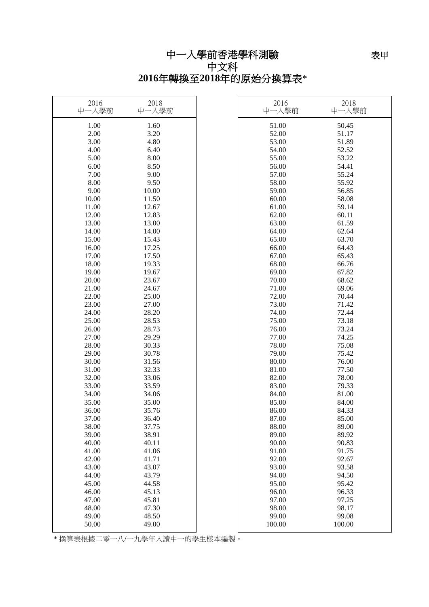# 中一入學前香港學科測驗

中文科 **2016**年轉換至**2018**年的原始分換算表\*

| 2016<br>中一入學前 | 2018<br>中一入學前 | 2016<br>中一入學前 | 2018<br>中一入學前 |
|---------------|---------------|---------------|---------------|
| 1.00          | 1.60          | 51.00         | 50.45         |
| 2.00          | 3.20          | 52.00         | 51.17         |
| 3.00          | 4.80          | 53.00         | 51.89         |
| 4.00          | 6.40          | 54.00         | 52.52         |
| 5.00          | 8.00          | 55.00         | 53.22         |
| 6.00          | 8.50          | 56.00         | 54.41         |
| 7.00          | 9.00          | 57.00         | 55.24         |
| 8.00          | 9.50          | 58.00         | 55.92         |
| 9.00          | 10.00         | 59.00         | 56.85         |
| 10.00         | 11.50         | 60.00         | 58.08         |
| 11.00         | 12.67         | 61.00         | 59.14         |
| 12.00         | 12.83         | 62.00         | 60.11         |
| 13.00         | 13.00         | 63.00         | 61.59         |
| 14.00         | 14.00         | 64.00         | 62.64         |
| 15.00         | 15.43         | 65.00         | 63.70         |
| 16.00         | 17.25         | 66.00         | 64.43         |
| 17.00         | 17.50         | 67.00         | 65.43         |
| 18.00         | 19.33         | 68.00         | 66.76         |
| 19.00         | 19.67         | 69.00         | 67.82         |
| 20.00         | 23.67         | 70.00         | 68.62         |
| 21.00         | 24.67         | 71.00         | 69.06         |
| 22.00         | 25.00         | 72.00         | 70.44         |
| 23.00         | 27.00         | 73.00         | 71.42         |
| 24.00         | 28.20         | 74.00         | 72.44         |
| 25.00         | 28.53         | 75.00         | 73.18         |
| 26.00         | 28.73         | 76.00         | 73.24         |
| 27.00         | 29.29         | 77.00         | 74.25         |
| 28.00         | 30.33         | 78.00         | 75.08         |
| 29.00         | 30.78         | 79.00         | 75.42         |
| 30.00         | 31.56         | 80.00         | 76.00         |
| 31.00         | 32.33         | 81.00         | 77.50         |
| 32.00         | 33.06         | 82.00         | 78.00         |
| 33.00         | 33.59         | 83.00         | 79.33         |
| 34.00         | 34.06         | 84.00         | 81.00         |
| 35.00         | 35.00         | 85.00         | 84.00         |
| 36.00         | 35.76         | 86.00         | 84.33         |
| 37.00         | 36.40         | 87.00         | 85.00         |
| 38.00         | 37.75         | 88.00         | 89.00         |
| 39.00         | 38.91         | 89.00         | 89.92         |
| 40.00         | 40.11         | 90.00         | 90.83         |
| 41.00         | 41.06         | 91.00         | 91.75         |
| 42.00         | 41.71         | 92.00         | 92.67         |
| 43.00         | 43.07         | 93.00         | 93.58         |
| 44.00         | 43.79         | 94.00         | 94.50         |
| 45.00         | 44.58         | 95.00         | 95.42         |
| 46.00         | 45.13         | 96.00         | 96.33         |
| 47.00         | 45.81         | 97.00         | 97.25         |
| 48.00         | 47.30         | 98.00         | 98.17         |
| 49.00         | 48.50         | 99.00         | 99.08         |
| 50.00         | 49.00         | 100.00        | 100.00        |

\* 換算表根據二零一八/一九學年入讀中一的學生樣本編製。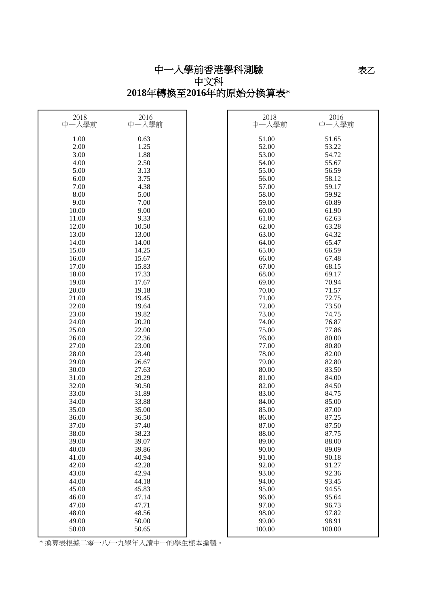# 中一入學前香港學科測驗 中文科 **2018**年轉換至**2016**年的原始分換算表\*

| 1.00<br>0.63<br>51.00<br>51.65<br>2.00<br>1.25<br>52.00<br>53.22<br>1.88<br>3.00<br>53.00<br>54.72<br>4.00<br>2.50<br>54.00<br>55.67<br>55.00<br>5.00<br>3.13<br>56.59<br>6.00<br>3.75<br>56.00<br>58.12<br>7.00<br>4.38<br>57.00<br>59.17<br>8.00<br>5.00<br>58.00<br>59.92<br>9.00<br>7.00<br>59.00<br>60.89<br>10.00<br>9.00<br>60.00<br>61.90<br>61.00<br>11.00<br>9.33<br>62.63 |
|--------------------------------------------------------------------------------------------------------------------------------------------------------------------------------------------------------------------------------------------------------------------------------------------------------------------------------------------------------------------------------------|
|                                                                                                                                                                                                                                                                                                                                                                                      |
|                                                                                                                                                                                                                                                                                                                                                                                      |
|                                                                                                                                                                                                                                                                                                                                                                                      |
|                                                                                                                                                                                                                                                                                                                                                                                      |
|                                                                                                                                                                                                                                                                                                                                                                                      |
|                                                                                                                                                                                                                                                                                                                                                                                      |
|                                                                                                                                                                                                                                                                                                                                                                                      |
|                                                                                                                                                                                                                                                                                                                                                                                      |
|                                                                                                                                                                                                                                                                                                                                                                                      |
|                                                                                                                                                                                                                                                                                                                                                                                      |
|                                                                                                                                                                                                                                                                                                                                                                                      |
| 62.00<br>12.00<br>10.50<br>63.28                                                                                                                                                                                                                                                                                                                                                     |
| 13.00<br>63.00<br>13.00<br>64.32                                                                                                                                                                                                                                                                                                                                                     |
| 14.00<br>14.00<br>64.00<br>65.47                                                                                                                                                                                                                                                                                                                                                     |
| 65.00<br>15.00<br>14.25<br>66.59                                                                                                                                                                                                                                                                                                                                                     |
| 15.67<br>66.00<br>67.48<br>16.00                                                                                                                                                                                                                                                                                                                                                     |
| 67.00<br>17.00<br>15.83<br>68.15                                                                                                                                                                                                                                                                                                                                                     |
| 68.00<br>18.00<br>17.33<br>69.17                                                                                                                                                                                                                                                                                                                                                     |
| 17.67<br>69.00<br>19.00<br>70.94                                                                                                                                                                                                                                                                                                                                                     |
| 20.00<br>19.18<br>70.00<br>71.57                                                                                                                                                                                                                                                                                                                                                     |
| 21.00<br>71.00<br>72.75<br>19.45                                                                                                                                                                                                                                                                                                                                                     |
| 22.00<br>19.64<br>72.00<br>73.50                                                                                                                                                                                                                                                                                                                                                     |
| 19.82<br>73.00<br>23.00<br>74.75                                                                                                                                                                                                                                                                                                                                                     |
| 74.00<br>76.87<br>24.00<br>20.20                                                                                                                                                                                                                                                                                                                                                     |
| 25.00<br>75.00<br>22.00<br>77.86                                                                                                                                                                                                                                                                                                                                                     |
| 76.00<br>26.00<br>22.36<br>80.00                                                                                                                                                                                                                                                                                                                                                     |
| 77.00<br>27.00<br>23.00<br>80.80                                                                                                                                                                                                                                                                                                                                                     |
| 28.00<br>23.40<br>78.00<br>82.00                                                                                                                                                                                                                                                                                                                                                     |
| 29.00<br>79.00<br>82.80<br>26.67                                                                                                                                                                                                                                                                                                                                                     |
| 80.00<br>30.00<br>27.63<br>83.50                                                                                                                                                                                                                                                                                                                                                     |
| 31.00<br>29.29<br>81.00<br>84.00                                                                                                                                                                                                                                                                                                                                                     |
| 32.00<br>30.50<br>82.00<br>84.50                                                                                                                                                                                                                                                                                                                                                     |
| 33.00<br>31.89<br>83.00<br>84.75                                                                                                                                                                                                                                                                                                                                                     |
| 34.00<br>33.88<br>84.00<br>85.00                                                                                                                                                                                                                                                                                                                                                     |
| 85.00<br>35.00<br>35.00<br>87.00                                                                                                                                                                                                                                                                                                                                                     |
| 86.00<br>36.00<br>36.50<br>87.25                                                                                                                                                                                                                                                                                                                                                     |
| 87.00<br>87.50<br>37.00<br>37.40                                                                                                                                                                                                                                                                                                                                                     |
| 38.23<br>88.00<br>38.00<br>87.75                                                                                                                                                                                                                                                                                                                                                     |
| 89.00<br>88.00<br>39.00<br>39.07                                                                                                                                                                                                                                                                                                                                                     |
| 40.00<br>39.86<br>90.00<br>89.09                                                                                                                                                                                                                                                                                                                                                     |
| 91.00<br>41.00<br>40.94<br>90.18                                                                                                                                                                                                                                                                                                                                                     |
| 92.00<br>42.00<br>42.28<br>91.27<br>43.00<br>42.94<br>93.00<br>92.36                                                                                                                                                                                                                                                                                                                 |
| 94.00<br>44.00<br>44.18<br>93.45                                                                                                                                                                                                                                                                                                                                                     |
| 45.00<br>45.83<br>95.00<br>94.55                                                                                                                                                                                                                                                                                                                                                     |
| 46.00<br>47.14<br>96.00<br>95.64                                                                                                                                                                                                                                                                                                                                                     |
| 47.00<br>47.71<br>97.00<br>96.73                                                                                                                                                                                                                                                                                                                                                     |
| 98.00<br>48.00<br>48.56<br>97.82                                                                                                                                                                                                                                                                                                                                                     |
| 99.00<br>49.00<br>50.00<br>98.91                                                                                                                                                                                                                                                                                                                                                     |
| 50.00<br>50.65<br>100.00<br>100.00                                                                                                                                                                                                                                                                                                                                                   |

————————————————————<br>\* 換算表根據二零一八/一九學年入讀中一的學生樣本編製。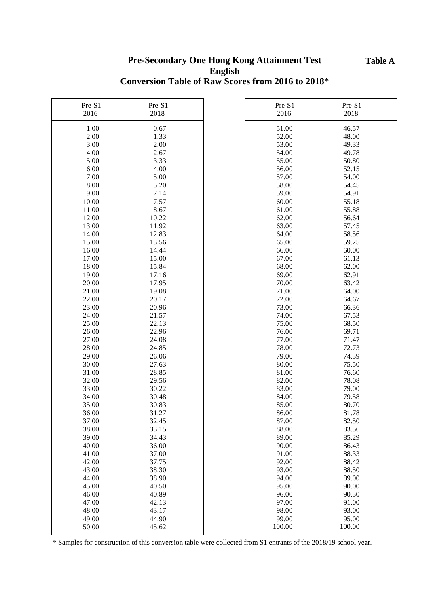#### **Table A**

### **Pre-Secondary One Hong Kong Attainment Test English Conversion Table of Raw Scores from 2016 to 2018**\*

| Pre-S1<br>2016 | Pre-S1<br>2018 | Pre-S1<br>2016 | Pre-S1<br>2018 |
|----------------|----------------|----------------|----------------|
| 1.00           | 0.67           | 51.00          | 46.57          |
| 2.00           | 1.33           | 52.00          | 48.00          |
| 3.00           | 2.00           | 53.00          | 49.33          |
| 4.00           | 2.67           | 54.00          | 49.78          |
| 5.00           | 3.33           | 55.00          | 50.80          |
| 6.00           | 4.00           | 56.00          | 52.15          |
| 7.00           | 5.00           | 57.00          | 54.00          |
| 8.00           | 5.20           | 58.00          | 54.45          |
| 9.00           | 7.14           | 59.00          | 54.91          |
| 10.00          | 7.57           | 60.00          | 55.18          |
| 11.00          | 8.67           | 61.00          | 55.88          |
| 12.00          | 10.22          | 62.00          | 56.64          |
| 13.00          | 11.92          | 63.00          | 57.45          |
| 14.00          | 12.83          | 64.00          | 58.56          |
| 15.00          | 13.56          | 65.00          | 59.25          |
| 16.00          | 14.44          | 66.00          | 60.00          |
| 17.00          | 15.00          | 67.00          | 61.13          |
| 18.00          | 15.84          | 68.00          | 62.00          |
| 19.00          | 17.16          | 69.00          | 62.91          |
| 20.00          | 17.95          | 70.00          | 63.42          |
| 21.00          | 19.08          | 71.00          | 64.00          |
| 22.00          | 20.17          | 72.00          | 64.67          |
| 23.00          | 20.96          | 73.00          | 66.36          |
| 24.00          | 21.57          | 74.00          | 67.53          |
| 25.00          | 22.13          | 75.00          | 68.50          |
| 26.00          | 22.96          | 76.00          | 69.71          |
| 27.00          | 24.08          | 77.00          | 71.47          |
| 28.00          | 24.85          | 78.00          | 72.73          |
| 29.00          | 26.06          | 79.00          | 74.59          |
| 30.00          | 27.63          | 80.00          | 75.50          |
| 31.00          | 28.85          | 81.00          | 76.60          |
| 32.00          | 29.56          | 82.00          | 78.08          |
| 33.00          | 30.22          | 83.00          | 79.00          |
| 34.00          | 30.48          | 84.00          | 79.58          |
| 35.00          | 30.83          | 85.00          | 80.70          |
| 36.00          | 31.27          | 86.00          | 81.78          |
| 37.00          | 32.45          | 87.00          | 82.50          |
| 38.00          | 33.15          | 88.00          | 83.56          |
| 39.00          | 34.43          | 89.00          | 85.29          |
| 40.00          | 36.00          | 90.00          | 86.43          |
| 41.00          | 37.00          | 91.00          | 88.33          |
| 42.00          | 37.75          | 92.00          | 88.42          |
| 43.00          | 38.30          | 93.00          | 88.50          |
| 44.00          | 38.90          | 94.00          | 89.00          |
| 45.00          | 40.50          | 95.00          | 90.00          |
| 46.00          | 40.89          | 96.00          | 90.50          |
| 47.00          | 42.13          | 97.00          | 91.00          |
| 48.00          | 43.17          | 98.00          | 93.00          |
| 49.00          | 44.90          | 99.00          | 95.00          |
| 50.00          | 45.62          | 100.00         | 100.00         |
|                |                |                |                |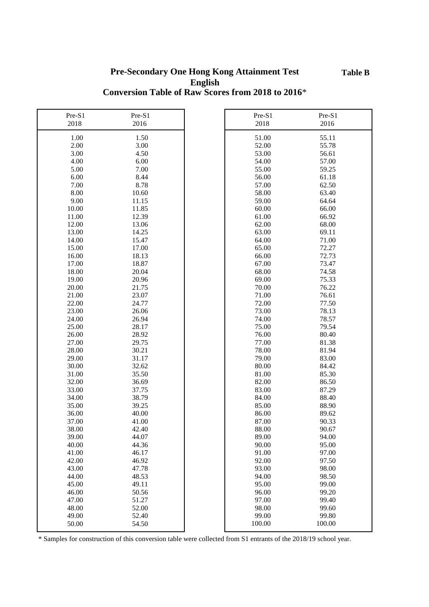### **Pre-Secondary One Hong Kong Attainment Test English Conversion Table of Raw Scores from 2018 to 2016**\*

| Pre-S1 | Pre-S1 | Pre-S1 | Pre-S1 |
|--------|--------|--------|--------|
| 2018   | 2016   | 2018   | 2016   |
| 1.00   | 1.50   | 51.00  | 55.11  |
| 2.00   | 3.00   | 52.00  | 55.78  |
| 3.00   | 4.50   | 53.00  | 56.61  |
| 4.00   | 6.00   | 54.00  | 57.00  |
| 5.00   | 7.00   | 55.00  | 59.25  |
| 6.00   | 8.44   | 56.00  | 61.18  |
| 7.00   | 8.78   | 57.00  | 62.50  |
| 8.00   | 10.60  | 58.00  | 63.40  |
| 9.00   | 11.15  | 59.00  | 64.64  |
| 10.00  | 11.85  | 60.00  | 66.00  |
| 11.00  | 12.39  | 61.00  | 66.92  |
| 12.00  | 13.06  | 62.00  | 68.00  |
| 13.00  | 14.25  | 63.00  | 69.11  |
| 14.00  | 15.47  | 64.00  | 71.00  |
| 15.00  | 17.00  | 65.00  | 72.27  |
| 16.00  | 18.13  | 66.00  | 72.73  |
| 17.00  | 18.87  | 67.00  | 73.47  |
| 18.00  | 20.04  | 68.00  | 74.58  |
| 19.00  | 20.96  | 69.00  | 75.33  |
| 20.00  | 21.75  | 70.00  | 76.22  |
| 21.00  | 23.07  | 71.00  | 76.61  |
| 22.00  | 24.77  | 72.00  | 77.50  |
| 23.00  | 26.06  | 73.00  | 78.13  |
| 24.00  | 26.94  | 74.00  | 78.57  |
| 25.00  | 28.17  | 75.00  | 79.54  |
| 26.00  | 28.92  | 76.00  | 80.40  |
| 27.00  | 29.75  | 77.00  | 81.38  |
| 28.00  | 30.21  | 78.00  | 81.94  |
| 29.00  | 31.17  | 79.00  | 83.00  |
| 30.00  | 32.62  | 80.00  | 84.42  |
| 31.00  | 35.50  | 81.00  | 85.30  |
| 32.00  | 36.69  | 82.00  | 86.50  |
| 33.00  | 37.75  | 83.00  | 87.29  |
| 34.00  | 38.79  | 84.00  | 88.40  |
| 35.00  | 39.25  | 85.00  | 88.90  |
| 36.00  | 40.00  | 86.00  | 89.62  |
| 37.00  | 41.00  | 87.00  | 90.33  |
| 38.00  | 42.40  | 88.00  | 90.67  |
| 39.00  | 44.07  | 89.00  | 94.00  |
| 40.00  | 44.36  | 90.00  | 95.00  |
| 41.00  | 46.17  | 91.00  | 97.00  |
| 42.00  | 46.92  | 92.00  | 97.50  |
| 43.00  | 47.78  | 93.00  | 98.00  |
| 44.00  | 48.53  | 94.00  | 98.50  |
| 45.00  | 49.11  | 95.00  | 99.00  |
| 46.00  | 50.56  | 96.00  | 99.20  |
| 47.00  | 51.27  | 97.00  | 99.40  |
| 48.00  | 52.00  | 98.00  | 99.60  |
| 49.00  | 52.40  | 99.00  | 99.80  |
| 50.00  | 54.50  | 100.00 | 100.00 |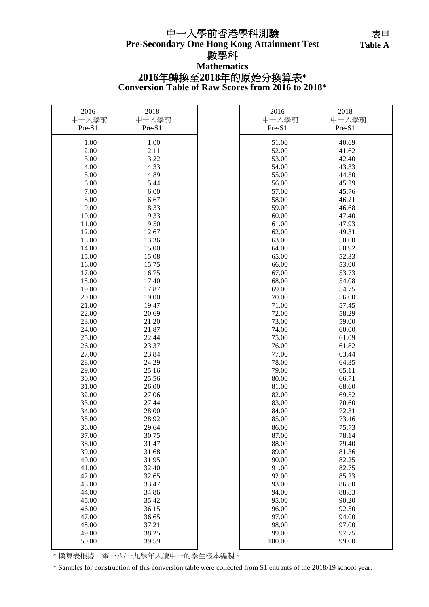# **Pre-Secondary One Hong Kong Attainment Test** 中一入學前香港學科測驗

**Table 表甲** Table A

#### 數學科 **Mathematics**

## **Conversion Table of Raw Scores from 2016 to 2018**\* **2016**年轉換至**2018**年的原始分換算表\*

'n

| 2016   | 2018   | 2016   | 2018   |
|--------|--------|--------|--------|
| 中一入學前  | 中一入學前  | 中一入學前  | 中一入學前  |
| Pre-S1 | Pre-S1 | Pre-S1 | Pre-S1 |
| 1.00   | 1.00   | 51.00  | 40.69  |
| 2.00   | 2.11   | 52.00  | 41.62  |
| 3.00   | 3.22   | 53.00  | 42.40  |
|        | 4.33   |        |        |
| 4.00   |        | 54.00  | 43.33  |
| 5.00   | 4.89   | 55.00  | 44.50  |
| 6.00   | 5.44   | 56.00  | 45.29  |
| 7.00   | 6.00   | 57.00  | 45.76  |
| 8.00   | 6.67   | 58.00  | 46.21  |
| 9.00   | 8.33   | 59.00  | 46.68  |
| 10.00  | 9.33   | 60.00  | 47.40  |
| 11.00  | 9.50   | 61.00  | 47.93  |
| 12.00  | 12.67  | 62.00  | 49.31  |
| 13.00  | 13.36  | 63.00  | 50.00  |
| 14.00  | 15.00  | 64.00  | 50.92  |
| 15.00  | 15.08  | 65.00  | 52.33  |
| 16.00  | 15.75  | 66.00  | 53.00  |
| 17.00  | 16.75  | 67.00  | 53.73  |
| 18.00  | 17.40  | 68.00  | 54.08  |
| 19.00  | 17.87  | 69.00  | 54.75  |
| 20.00  | 19.00  | 70.00  | 56.00  |
| 21.00  | 19.47  | 71.00  | 57.45  |
| 22.00  | 20.69  | 72.00  | 58.29  |
| 23.00  | 21.20  | 73.00  | 59.00  |
| 24.00  | 21.87  | 74.00  | 60.00  |
| 25.00  | 22.44  | 75.00  | 61.09  |
| 26.00  | 23.37  | 76.00  | 61.82  |
| 27.00  | 23.84  | 77.00  | 63.44  |
| 28.00  | 24.29  | 78.00  | 64.35  |
| 29.00  | 25.16  | 79.00  | 65.11  |
| 30.00  | 25.56  | 80.00  | 66.71  |
| 31.00  | 26.00  | 81.00  | 68.60  |
| 32.00  | 27.06  | 82.00  | 69.52  |
| 33.00  | 27.44  | 83.00  | 70.60  |
| 34.00  | 28.00  | 84.00  | 72.31  |
| 35.00  | 28.92  | 85.00  | 73.46  |
| 36.00  | 29.64  | 86.00  | 75.73  |
| 37.00  | 30.75  | 87.00  | 78.14  |
| 38.00  | 31.47  | 88.00  | 79.40  |
| 39.00  | 31.68  | 89.00  | 81.36  |
| 40.00  | 31.95  | 90.00  | 82.25  |
| 41.00  | 32.40  | 91.00  | 82.75  |
| 42.00  | 32.65  | 92.00  | 85.23  |
| 43.00  | 33.47  | 93.00  | 86.80  |
| 44.00  | 34.86  | 94.00  | 88.83  |
| 45.00  | 35.42  | 95.00  | 90.20  |
| 46.00  | 36.15  | 96.00  | 92.50  |
| 47.00  | 36.65  | 97.00  | 94.00  |
| 48.00  | 37.21  | 98.00  | 97.00  |
| 49.00  | 38.25  | 99.00  | 97.75  |
| 50.00  | 39.59  | 100.00 | 99.00  |

\* 換算表根據二零一八/一九學年入讀中一的學生樣本編製。